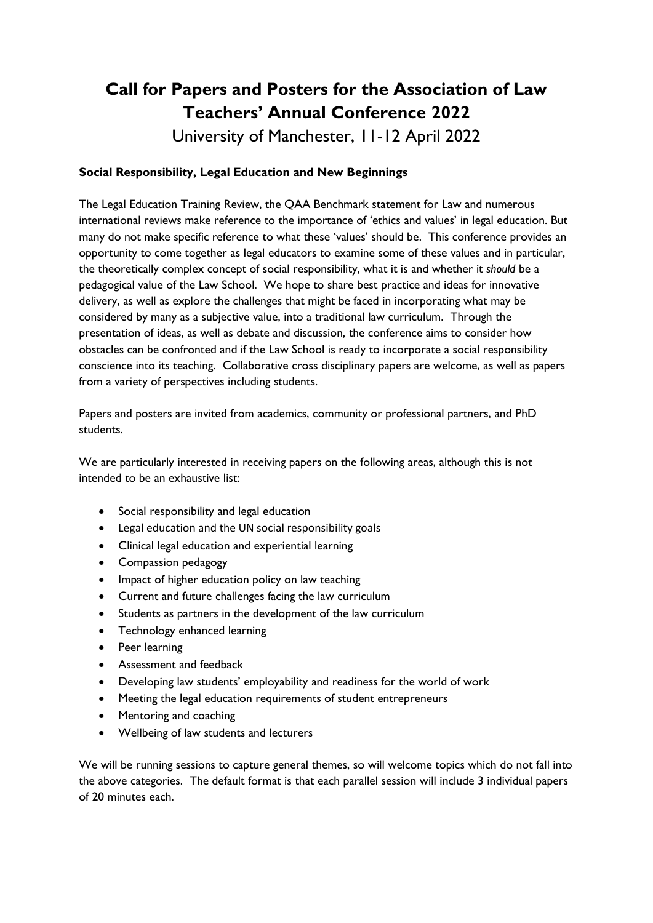# **Call for Papers and Posters for the Association of Law Teachers' Annual Conference 2022**

University of Manchester, 11-12 April 2022

## **Social Responsibility, Legal Education and New Beginnings**

The Legal Education Training Review, the QAA Benchmark statement for Law and numerous international reviews make reference to the importance of 'ethics and values' in legal education. But many do not make specific reference to what these 'values' should be. This conference provides an opportunity to come together as legal educators to examine some of these values and in particular, the theoretically complex concept of social responsibility, what it is and whether it *should* be a pedagogical value of the Law School. We hope to share best practice and ideas for innovative delivery, as well as explore the challenges that might be faced in incorporating what may be considered by many as a subjective value, into a traditional law curriculum. Through the presentation of ideas, as well as debate and discussion, the conference aims to consider how obstacles can be confronted and if the Law School is ready to incorporate a social responsibility conscience into its teaching. Collaborative cross disciplinary papers are welcome, as well as papers from a variety of perspectives including students.

Papers and posters are invited from academics, community or professional partners, and PhD students.

We are particularly interested in receiving papers on the following areas, although this is not intended to be an exhaustive list:

- Social responsibility and legal education
- Legal education and the UN social responsibility goals
- Clinical legal education and experiential learning
- Compassion pedagogy
- Impact of higher education policy on law teaching
- Current and future challenges facing the law curriculum
- Students as partners in the development of the law curriculum
- Technology enhanced learning
- Peer learning
- Assessment and feedback
- Developing law students' employability and readiness for the world of work
- Meeting the legal education requirements of student entrepreneurs
- Mentoring and coaching
- Wellbeing of law students and lecturers

We will be running sessions to capture general themes, so will welcome topics which do not fall into the above categories. The default format is that each parallel session will include 3 individual papers of 20 minutes each.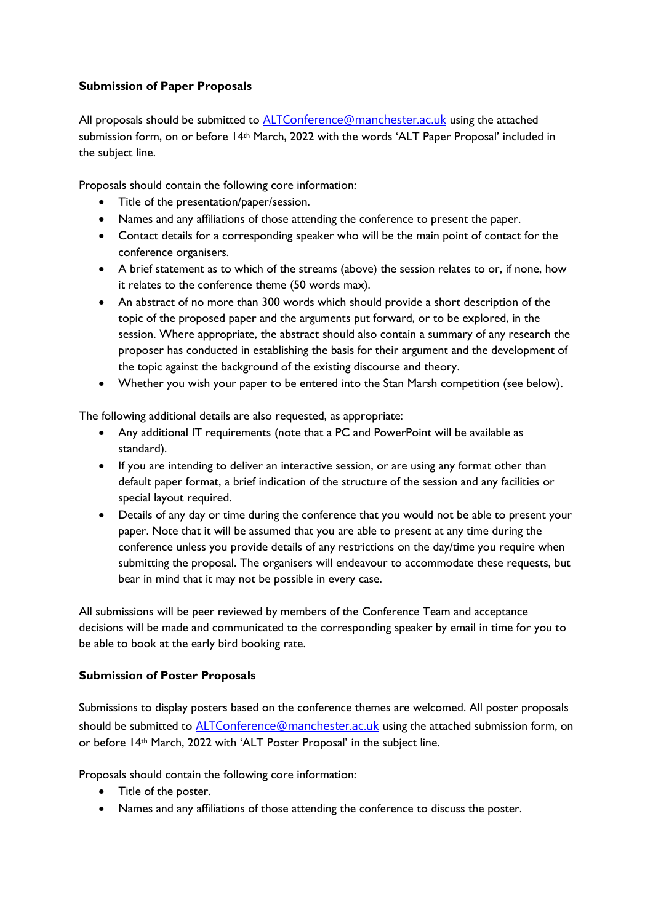### **Submission of Paper Proposals**

All proposals should be submitted to [ALTConference@manchester.ac.uk](mailto:ALTConference@manchester.ac.uk) using the attached submission form, on or before 14th March, 2022 with the words 'ALT Paper Proposal' included in the subject line.

Proposals should contain the following core information:

- Title of the presentation/paper/session.
- Names and any affiliations of those attending the conference to present the paper.
- Contact details for a corresponding speaker who will be the main point of contact for the conference organisers.
- A brief statement as to which of the streams (above) the session relates to or, if none, how it relates to the conference theme (50 words max).
- An abstract of no more than 300 words which should provide a short description of the topic of the proposed paper and the arguments put forward, or to be explored, in the session. Where appropriate, the abstract should also contain a summary of any research the proposer has conducted in establishing the basis for their argument and the development of the topic against the background of the existing discourse and theory.
- Whether you wish your paper to be entered into the Stan Marsh competition (see below).

The following additional details are also requested, as appropriate:

- Any additional IT requirements (note that a PC and PowerPoint will be available as standard).
- If you are intending to deliver an interactive session, or are using any format other than default paper format, a brief indication of the structure of the session and any facilities or special layout required.
- Details of any day or time during the conference that you would not be able to present your paper. Note that it will be assumed that you are able to present at any time during the conference unless you provide details of any restrictions on the day/time you require when submitting the proposal. The organisers will endeavour to accommodate these requests, but bear in mind that it may not be possible in every case.

All submissions will be peer reviewed by members of the Conference Team and acceptance decisions will be made and communicated to the corresponding speaker by email in time for you to be able to book at the early bird booking rate.

## **Submission of Poster Proposals**

Submissions to display posters based on the conference themes are welcomed. All poster proposals should be submitted to [ALTConference@manchester.ac.uk](mailto:ALTConference@manchester.ac.uk) using the attached submission form, on or before 14th March, 2022 with 'ALT Poster Proposal' in the subject line.

Proposals should contain the following core information:

- Title of the poster.
- Names and any affiliations of those attending the conference to discuss the poster.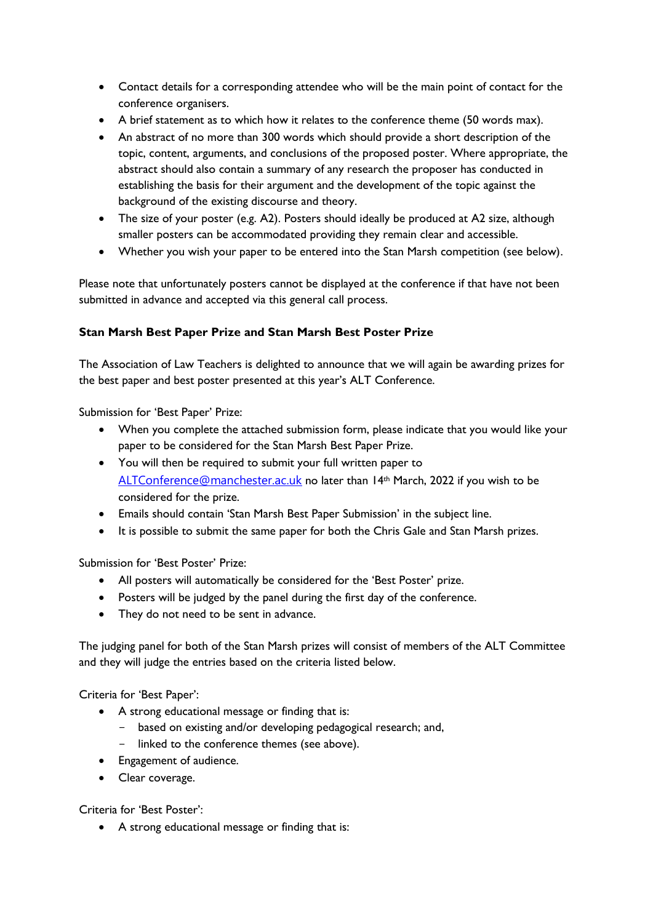- Contact details for a corresponding attendee who will be the main point of contact for the conference organisers.
- A brief statement as to which how it relates to the conference theme (50 words max).
- An abstract of no more than 300 words which should provide a short description of the topic, content, arguments, and conclusions of the proposed poster. Where appropriate, the abstract should also contain a summary of any research the proposer has conducted in establishing the basis for their argument and the development of the topic against the background of the existing discourse and theory.
- The size of your poster (e.g. A2). Posters should ideally be produced at A2 size, although smaller posters can be accommodated providing they remain clear and accessible.
- Whether you wish your paper to be entered into the Stan Marsh competition (see below).

Please note that unfortunately posters cannot be displayed at the conference if that have not been submitted in advance and accepted via this general call process.

#### **Stan Marsh Best Paper Prize and Stan Marsh Best Poster Prize**

The Association of Law Teachers is delighted to announce that we will again be awarding prizes for the best paper and best poster presented at this year's ALT Conference.

Submission for 'Best Paper' Prize:

- When you complete the attached submission form, please indicate that you would like your paper to be considered for the Stan Marsh Best Paper Prize.
- You will then be required to submit your full written paper to [ALTConference@manchester.ac.uk](mailto:ALTConference@manchester.ac.uk) no later than 14<sup>th</sup> March, 2022 if you wish to be considered for the prize.
- Emails should contain 'Stan Marsh Best Paper Submission' in the subject line.
- It is possible to submit the same paper for both the Chris Gale and Stan Marsh prizes.

Submission for 'Best Poster' Prize:

- All posters will automatically be considered for the 'Best Poster' prize.
- Posters will be judged by the panel during the first day of the conference.
- They do not need to be sent in advance.

The judging panel for both of the Stan Marsh prizes will consist of members of the ALT Committee and they will judge the entries based on the criteria listed below.

Criteria for 'Best Paper':

- A strong educational message or finding that is:
	- based on existing and/or developing pedagogical research; and,
	- linked to the conference themes (see above).
- Engagement of audience.
- Clear coverage.

Criteria for 'Best Poster':

• A strong educational message or finding that is: